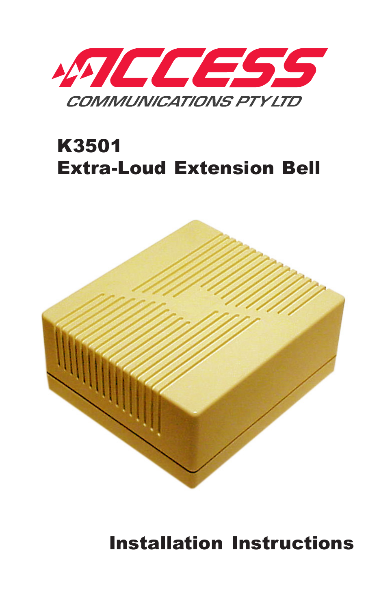

## K3501 Extra-Loud Extension Bell



Installation Instructions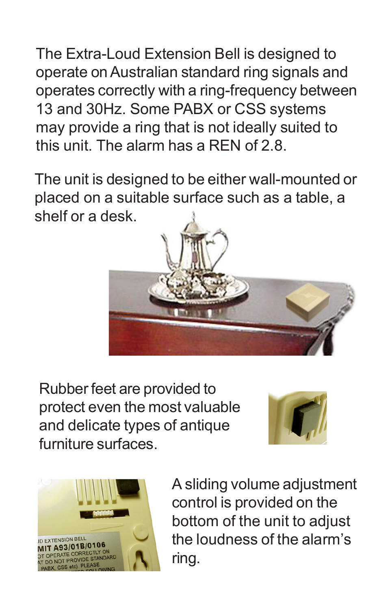The Extra-Loud Extension Bell is designed to operate on Australian standard ring signals and operates correctly with a ring-frequency between 13 and 30Hz. Some PABX or CSS systems may provide a ring that is not ideally suited to this unit. The alarm has a REN of 2.8.

The unit is designed to be either wall-mounted or placed on a suitable surface such as a table, a shelf or a desk.



Rubber feet are provided to protect even the most valuable and delicate types of antique furniture surfaces.





A sliding volume adjustment control is provided on the bottom of the unit to adjust the loudness of the alarm's ring.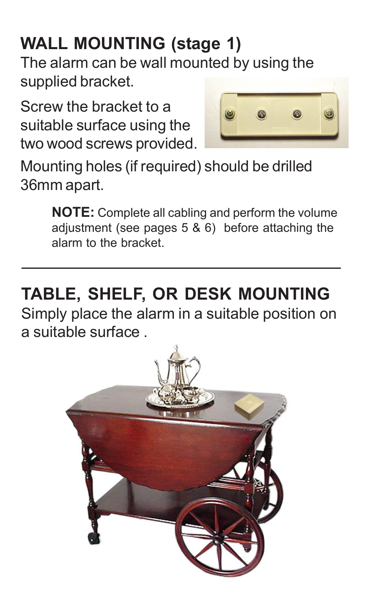# **WALL MOUNTING (stage 1)**

The alarm can be wall mounted by using the supplied bracket.

Screw the bracket to a suitable surface using the two wood screws provided.



Mounting holes (if required) should be drilled 36mm apart.

> **NOTE:** Complete all cabling and perform the volume adjustment (see pages 5 & 6) before attaching the alarm to the bracket.

**TABLE, SHELF, OR DESK MOUNTING** Simply place the alarm in a suitable position on a suitable surface .

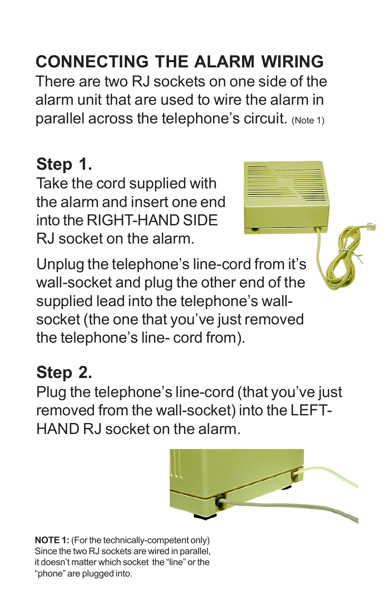## **CONNECTING THE ALARM WIRING**

There are two RJ sockets on one side of the alarm unit that are used to wire the alarm in parallel across the telephone's circuit. (Note 1)

### **Step 1.**

Take the cord supplied with the alarm and insert one end into the RIGHT-HAND SIDE RJ socket on the alarm.

Unplug the telephone's line-cord from it's wall-socket and plug the other end of the supplied lead into the telephone's wallsocket (the one that you've just removed the telephone's line- cord from).

#### **Step 2.**

Plug the telephone's line-cord (that you've just removed from the wall-socket) into the LEFT-HAND RJ socket on the alarm.



**NOTE 1:** (For the technically-competent only) Since the two RJ sockets are wired in parallel, it doesn't matter which socket the "line" or the "phone" are plugged into.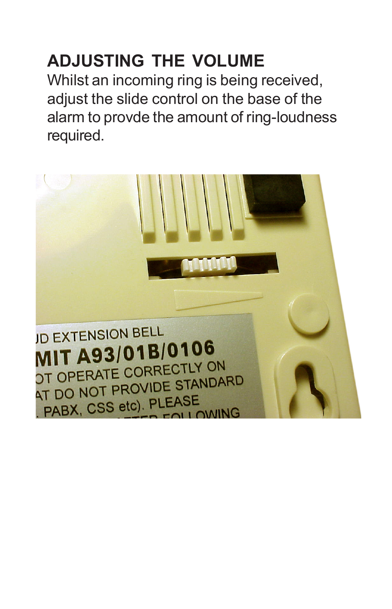## **ADJUSTING THE VOLUME**

Whilst an incoming ring is being received, adjust the slide control on the base of the alarm to provde the amount of ring-loudness required.